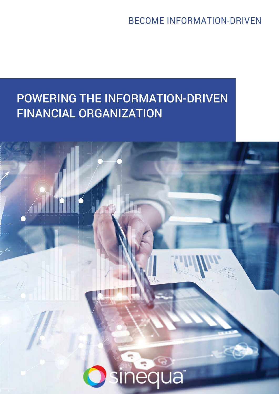BECOME INFORMATION-DRIVEN

# POWERING THE INFORMATION-DRIVEN FINANCIAL ORGANIZATION

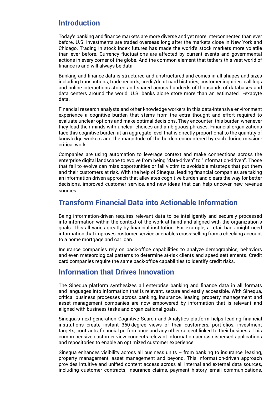# **Introduction**

Today's banking and finance markets are more diverse and yet more interconnected than ever before. U.S. investments are traded overseas long after the markets close in New York and Chicago. Trading in stock index futures has made the world's stock markets more volatile than ever before. Currency fluctuations are affected by current events and governmental actions in every corner of the globe. And the common element that tethers this vast world of finance is and will always be data.

Banking and finance data is structured and unstructured and comes in all shapes and sizes including transactions, trade records, credit/debit card histories, customer inquiries, call logs and online interactions stored and shared across hundreds of thousands of databases and data centers around the world. U.S. banks alone store more than an estimated 1-exabyte data.

Financial research analysts and other knowledge workers in this data-intensive environment experience a cognitive burden that stems from the extra thought and effort required to evaluate unclear options and make optimal decisions. They encounter this burden whenever they load their minds with unclear choices and ambiguous phrases. Financial organizations face this cognitive burden at an aggregate level that is directly proportional to the quantity of knowledge workers and the magnitude of the burden encountered by each during missioncritical work.

Companies are using automation to leverage context and make connections across the enterprise digital landscape to evolve from being "data-driven" to "information-driven". Those that fail to evolve can miss opportunities or fall victim to avoidable missteps that put them and their customers at risk. With the help of Sinequa, leading financial companies are taking an information-driven approach that alleviates cognitive burden and clears the way for better decisions, improved customer service, and new ideas that can help uncover new revenue sources.

# **Transform Financial Data into Actionable Information**

Being information-driven requires relevant data to be intelligently and securely processed into information within the context of the work at hand and aligned with the organization's goals. This all varies greatly by financial institution. For example, a retail bank might need information that improves customer service or enables cross-selling from a checking account to a home mortgage and car loan.

Insurance companies rely on back-office capabilities to analyze demographics, behaviors and even meteorological patterns to determine at-risk clients and speed settlements. Credit card companies require the same back-office capabilities to identify credit risks.

#### **Information that Drives Innovation**

The Sinequa platform synthesizes all enterprise banking and finance data in all formats and languages into information that is relevant, secure and easily accessible. With Sinequa, critical business processes across banking, insurance, leasing, property management and asset management companies are now empowered by information that is relevant and aligned with business tasks and organizational goals.

Sinequa's next-generation Cognitive Search and Analytics platform helps leading financial institutions create instant 360-degree views of their customers, portfolios, investment targets, contracts, financial performance and any other subject linked to their business. This comprehensive customer view connects relevant information across dispersed applications and repositories to enable an optimized customer experience.

Sinequa enhances visibility across all business units – from banking to insurance, leasing, property management, asset management and beyond. This information-driven approach provides intuitive and unified content access across all internal and external data sources, including customer contracts, insurance claims, payment history, email communications,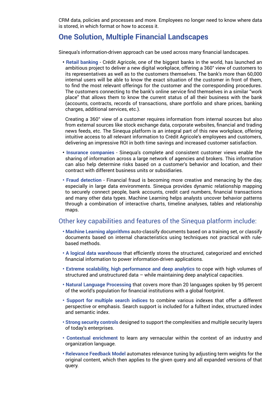CRM data, policies and processes and more. Employees no longer need to know where data is stored, in which format or how to access it.

#### **One Solution, Multiple Financial Landscapes**

Sinequa's information-driven approach can be used across many financial landscapes.

**• Retail banking** - Crédit Agricole, one of the biggest banks in the world, has launched an ambitious project to deliver a new digital workplace, offering a 360° view of customers to its representatives as well as to the customers themselves. The bank's more than 60,000 internal users will be able to know the exact situation of the customer in front of them, to find the most relevant offerings for the customer and the corresponding procedures. The customers connecting to the bank's online service find themselves in a similar "work place" that allows them to know the current status of all their business with the bank (accounts, contracts, records of transactions, share portfolio and share prices, banking charges, additional services, etc.).

Creating a 360° view of a customer requires information from internal sources but also from external sources like stock exchange data, corporate websites, financial and trading news feeds, etc. The Sinequa platform is an integral part of this new workplace, offering intuitive access to all relevant information to Crédit Agricole's employees and customers, delivering an impressive ROI in both time savings and increased customer satisfaction.

- **• Insurance companies** Sinequa's complete and consistent customer views enable the sharing of information across a large network of agencies and brokers. This information can also help determine risks based on a customer's behavior and location, and their contract with different business units or subsidiaries.
- **Fraud detection** Financial fraud is becoming more creative and menacing by the day, especially in large data environments. Sinequa provides dynamic relationship mapping to securely connect people, bank accounts, credit card numbers, financial transactions and many other data types. Machine Learning helps analysts uncover behavior patterns through a combination of interactive charts, timeline analyses, tables and relationship maps.

#### Other key capabilities and features of the Sinequa platform include:

- **• Machine Learning algorithms** auto-classify documents based on a training set, or classify documents based on internal characteristics using techniques not practical with rulebased methods.
- **A logical data warehouse** that efficiently stores the structured, categorized and enriched financial information to power information-driven applications.
- **Extreme scalability, high performance and deep analytics** to cope with high volumes of structured and unstructured data – while maintaining deep analytical capacities.
- **Natural Language Processing** that covers more than 20 languages spoken by 95 percent of the world's population for financial institutions with a global footprint.
- **Support for multiple search indices** to combine various indexes that offer a different perspective or emphasis. Search support is included for a fulltext index, structured index and semantic index.
- **Strong security controls** designed to support the complexities and multiple security layers of today's enterprises.
- **Contextual enrichment** to learn any vernacular within the context of an industry and organization language.
- **Relevance Feedback Model** automates relevance tuning by adjusting term weights for the original content, which then applies to the given query and all expanded versions of that query.